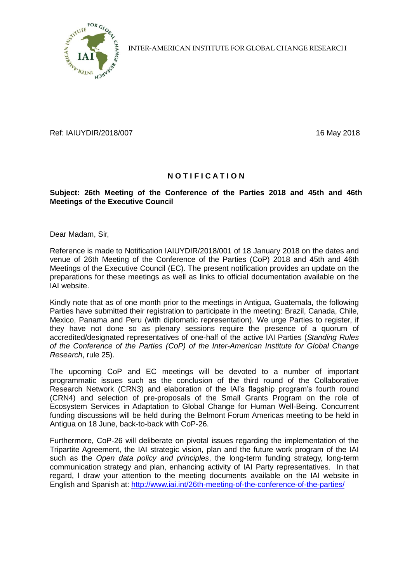

INTER-AMERICAN INSTITUTE FOR GLOBAL CHANGE RESEARCH

Ref: IAIUYDIR/2018/007 16 May 2018

## **N O T I F I C A T I O N**

## **Subject: 26th Meeting of the Conference of the Parties 2018 and 45th and 46th Meetings of the Executive Council**

Dear Madam, Sir,

Reference is made to Notification IAIUYDIR/2018/001 of 18 January 2018 on the dates and venue of 26th Meeting of the Conference of the Parties (CoP) 2018 and 45th and 46th Meetings of the Executive Council (EC). The present notification provides an update on the preparations for these meetings as well as links to official documentation available on the IAI website.

Kindly note that as of one month prior to the meetings in Antigua, Guatemala, the following Parties have submitted their registration to participate in the meeting: Brazil, Canada, Chile, Mexico, Panama and Peru (with diplomatic representation). We urge Parties to register, if they have not done so as plenary sessions require the presence of a quorum of accredited/designated representatives of one-half of the active IAI Parties (*Standing Rules of the Conference of the Parties (CoP) of the Inter-American Institute for Global Change Research*, rule 25).

The upcoming CoP and EC meetings will be devoted to a number of important programmatic issues such as the conclusion of the third round of the Collaborative Research Network (CRN3) and elaboration of the IAI's flagship program's fourth round (CRN4) and selection of pre-proposals of the Small Grants Program on the role of Ecosystem Services in Adaptation to Global Change for Human Well-Being. Concurrent funding discussions will be held during the Belmont Forum Americas meeting to be held in Antigua on 18 June, back-to-back with CoP-26.

Furthermore, CoP-26 will deliberate on pivotal issues regarding the implementation of the Tripartite Agreement, the IAI strategic vision, plan and the future work program of the IAI such as the *Open data policy and principles*, the long-term funding strategy, long-term communication strategy and plan, enhancing activity of IAI Party representatives. In that regard, I draw your attention to the meeting documents available on the IAI website in English and Spanish at:<http://www.iai.int/26th-meeting-of-the-conference-of-the-parties/>